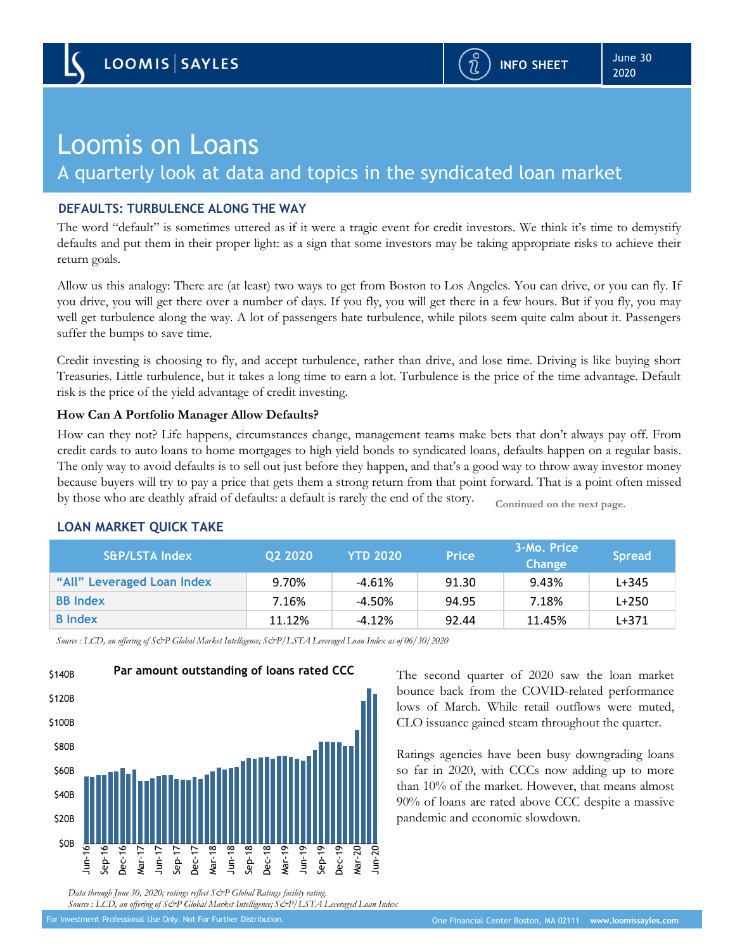# Loomis on Loans A quarterly look at data and topics in the syndicated loan market

# **DEFAULTS: TURBULENCE ALONG THE WAY**

The word "default" is sometimes uttered as if it were a tragic event for credit investors. We think it's time to demystify defaults and put them in their proper light: as a sign that some investors may be taking appropriate risks to achieve their return goals.

Allow us this analogy: There are (at least) two ways to get from Boston to Los Angeles. You can drive, or you can fly. If you drive, you will get there over a number of days. If you fly, you will get there in a few hours. But if you fly, you may well get turbulence along the way. A lot of passengers hate turbulence, while pilots seem quite calm about it. Passengers suffer the bumps to save time.

Credit investing is choosing to fly, and accept turbulence, rather than drive, and lose time. Driving is like buying short Treasuries. Little turbulence, but it takes a long time to earn a lot. Turbulence is the price of the time advantage. Default risk is the price of the yield advantage of credit investing.

## **How Can A Portfolio Manager Allow Defaults?**

How can they not? Life happens, circumstances change, management teams make bets that don't always pay off. From credit cards to auto loans to home mortgages to high yield bonds to syndicated loans, defaults happen on a regular basis. The only way to avoid defaults is to sell out just before they happen, and that's a good way to throw away investor money because buyers will try to pay a price that gets them a strong return from that point forward. That is a point often missed by those who are deathly afraid of defaults: a default is rarely the end of the story. **Continued on the next page.**

| Communed on the next page. |  |  |
|----------------------------|--|--|
|                            |  |  |
|                            |  |  |

| <b>S&amp;P/LSTA Index</b>  | 02 2020 | <b>YTD 2020</b> | <b>Price</b> | 3-Mo. Price<br><b>Change</b> | <b>Spread</b> |
|----------------------------|---------|-----------------|--------------|------------------------------|---------------|
| "All" Leveraged Loan Index | 9.70%   | $-4.61%$        | 91.30        | 9.43%                        | $L + 345$     |
| <b>BB</b> Index            | 7.16%   | $-4.50\%$       | 94.95        | 7.18%                        | $L + 250$     |
| <b>B</b> Index             | 11.12%  | $-4.12%$        | 92.44        | 11.45%                       | $L + 371$     |

**LOAN MARKET QUICK TAKE**

*Source : LCD, an offering of S&P Global Market Intelligence; S&P/LSTA Leveraged Loan Index as of 06/30/2020*



bounce back from the COVID-related performance lows of March. While retail outflows were muted, CLO issuance gained steam throughout the quarter.

Ratings agencies have been busy downgrading loans so far in 2020, with CCCs now adding up to more than 10% of the market. However, that means almost 90% of loans are rated above CCC despite a massive pandemic and economic slowdown.

*Data through June 30, 2020; ratings reflect S&P Global Ratings facility rating. Source : LCD, an offering of S&P Global Market Intelligence; S&P/LSTA Leveraged Loan Index*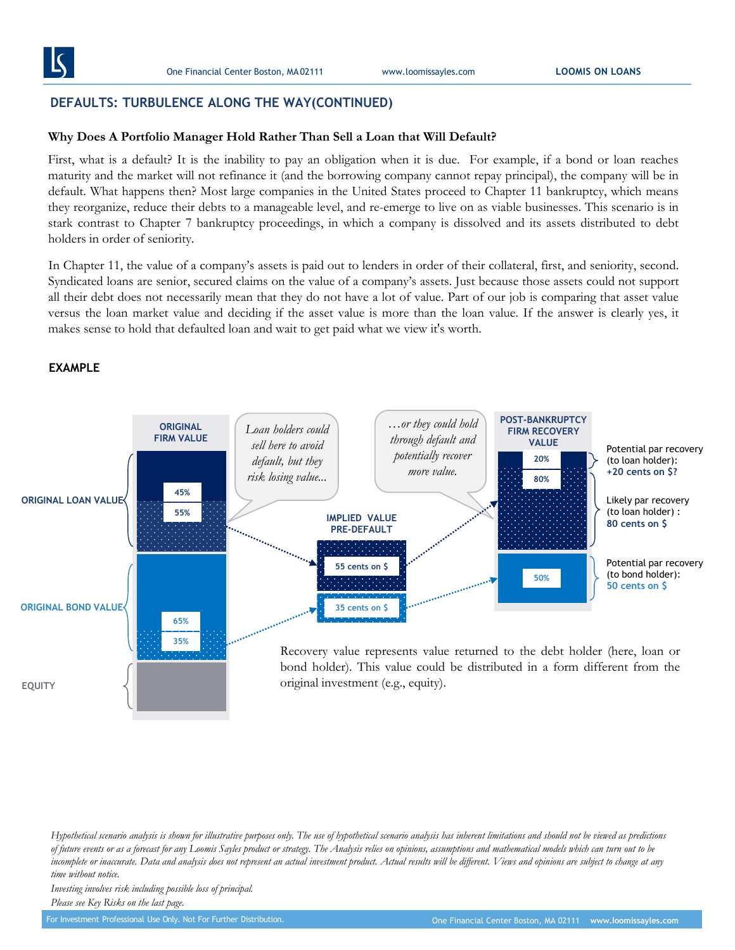

## **DEFAULTS: TURBULENCE ALONG THE WAY(CONTINUED)**

#### **Why Does A Portfolio Manager Hold Rather Than Sell a Loan that Will Default?**

First, what is a default? It is the inability to pay an obligation when it is due. For example, if a bond or loan reaches maturity and the market will not refinance it (and the borrowing company cannot repay principal), the company will be in default. What happens then? Most large companies in the United States proceed to Chapter 11 bankruptcy, which means they reorganize, reduce their debts to a manageable level, and re-emerge to live on as viable businesses. This scenario is in stark contrast to Chapter 7 bankruptcy proceedings, in which a company is dissolved and its assets distributed to debt holders in order of seniority.

In Chapter 11, the value of a company's assets is paid out to lenders in order of their collateral, first, and seniority, second. Syndicated loans are senior, secured claims on the value of a company's assets. Just because those assets could not support all their debt does not necessarily mean that they do not have a lot of value. Part of our job is comparing that asset value versus the loan market value and deciding if the asset value is more than the loan value. If the answer is clearly yes, it makes sense to hold that defaulted loan and wait to get paid what we view it's worth.

### **EXAMPLE**



*Hypothetical scenario analysis is shown for illustrative purposes only. The use of hypothetical scenario analysis has inherent limitations and should not be viewed as predictions of future events or as a forecast for any Loomis Sayles product or strategy. The Analysis relies on opinions, assumptions and mathematical models which can turn out to be incomplete or inaccurate. Data and analysis does not represent an actual investment product. Actual results will be different. Views and opinions are subject to change at any time without notice.* 

*Investing involves risk including possible loss of principal.* 

*Please see Key Risks on the last page.*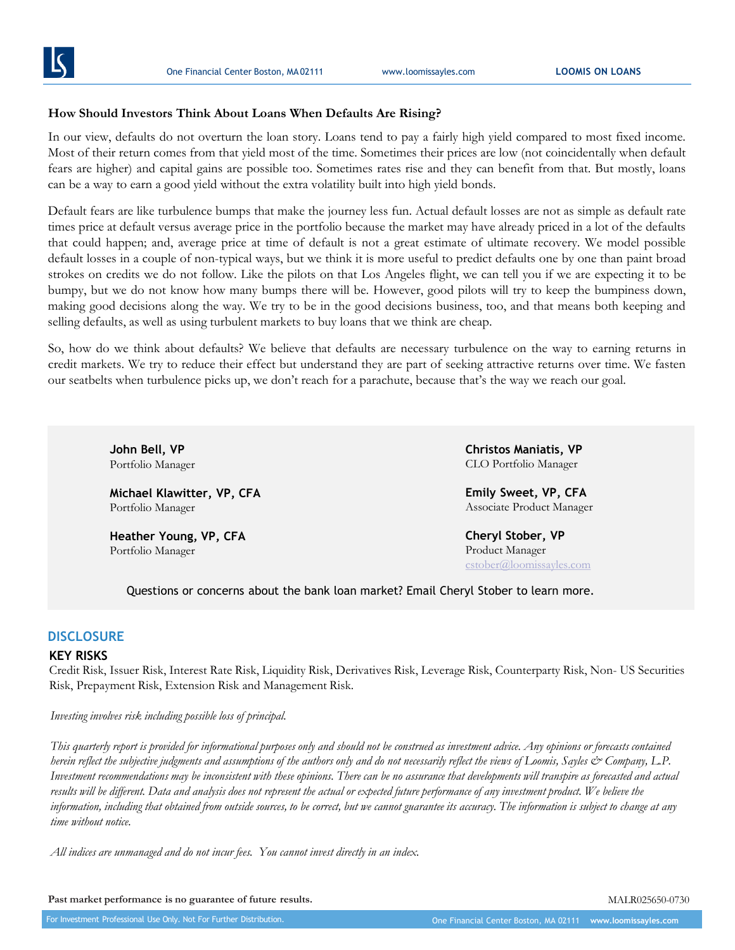#### **How Should Investors Think About Loans When Defaults Are Rising?**

In our view, defaults do not overturn the loan story. Loans tend to pay a fairly high yield compared to most fixed income. Most of their return comes from that yield most of the time. Sometimes their prices are low (not coincidentally when default fears are higher) and capital gains are possible too. Sometimes rates rise and they can benefit from that. But mostly, loans can be a way to earn a good yield without the extra volatility built into high yield bonds.

Default fears are like turbulence bumps that make the journey less fun. Actual default losses are not as simple as default rate times price at default versus average price in the portfolio because the market may have already priced in a lot of the defaults that could happen; and, average price at time of default is not a great estimate of ultimate recovery. We model possible default losses in a couple of non-typical ways, but we think it is more useful to predict defaults one by one than paint broad strokes on credits we do not follow. Like the pilots on that Los Angeles flight, we can tell you if we are expecting it to be bumpy, but we do not know how many bumps there will be. However, good pilots will try to keep the bumpiness down, making good decisions along the way. We try to be in the good decisions business, too, and that means both keeping and selling defaults, as well as using turbulent markets to buy loans that we think are cheap.

So, how do we think about defaults? We believe that defaults are necessary turbulence on the way to earning returns in credit markets. We try to reduce their effect but understand they are part of seeking attractive returns over time. We fasten our seatbelts when turbulence picks up, we don't reach for a parachute, because that's the way we reach our goal.

**John Bell, VP** Portfolio Manager

**Michael Klawitter, VP, CFA** Portfolio Manager

**Heather Young, VP, CFA** Portfolio Manager

**Christos Maniatis, VP** CLO Portfolio Manager

**Emily Sweet, VP, CFA** Associate Product Manager

**Cheryl Stober, VP** Product Manager [cstober@loomissayles.com](mailto:cstober@loomissayles.com)

Questions or concerns about the bank loan market? Email Cheryl Stober to learn more.

#### **DISCLOSURE**

#### **KEY RISKS**

Credit Risk, Issuer Risk, Interest Rate Risk, Liquidity Risk, Derivatives Risk, Leverage Risk, Counterparty Risk, Non- US Securities Risk, Prepayment Risk, Extension Risk and Management Risk.

*Investing involves risk including possible loss of principal.* 

*This quarterly report is provided for informational purposes only and should not be construed as investment advice. Any opinions or forecasts contained herein reflect the subjective judgments and assumptions of the authors only and do not necessarily reflect the views of Loomis, Sayles*  $\mathcal{O}$  *Company, L.P. Investment recommendations may be inconsistent with these opinions. There can be no assurance that developments will transpire as forecasted and actual*  results will be different. Data and analysis does not represent the actual or expected future performance of any investment product. We believe the *information, including that obtained from outside sources, to be correct, but we cannot guarantee its accuracy. The information is subject to change at any time without notice.* 

*All indices are unmanaged and do not incur fees. You cannot invest directly in an index.* 

**Past market performance is no guarantee of future results.**

MALR025650-0730